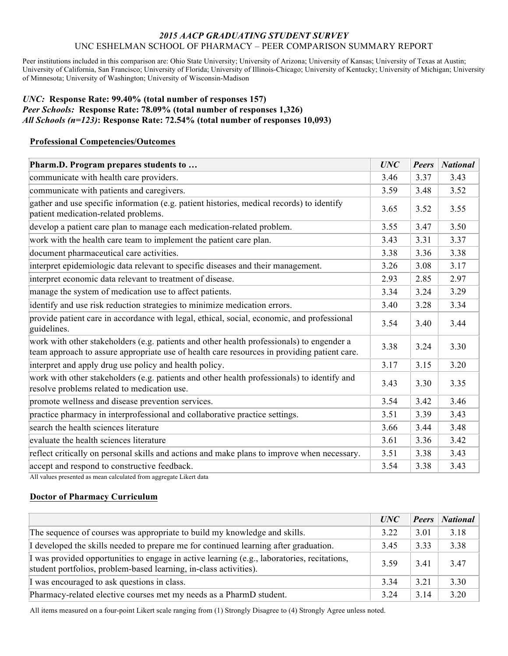#### *2015 AACP GRADUATING STUDENT SURVEY* UNC ESHELMAN SCHOOL OF PHARMACY – PEER COMPARISON SUMMARY REPORT

Peer institutions included in this comparison are: Ohio State University; University of Arizona; University of Kansas; University of Texas at Austin; University of California, San Francisco; University of Florida; University of Illinois-Chicago; University of Kentucky; University of Michigan; University of Minnesota; University of Washington; University of Wisconsin-Madison

#### *UNC:* **Response Rate: 99.40% (total number of responses 157)** *Peer Schools:* **Response Rate: 78.09% (total number of responses 1,326)** *All Schools (n=123)***: Response Rate: 72.54% (total number of responses 10,093)**

#### **Professional Competencies/Outcomes**

| Pharm.D. Program prepares students to                                                                                                                                                    | <b>UNC</b> | <b>Peers</b> | <b>National</b> |
|------------------------------------------------------------------------------------------------------------------------------------------------------------------------------------------|------------|--------------|-----------------|
| communicate with health care providers.                                                                                                                                                  | 3.46       | 3.37         | 3.43            |
| communicate with patients and caregivers.                                                                                                                                                | 3.59       | 3.48         | 3.52            |
| gather and use specific information (e.g. patient histories, medical records) to identify<br>patient medication-related problems.                                                        | 3.65       | 3.52         | 3.55            |
| develop a patient care plan to manage each medication-related problem.                                                                                                                   | 3.55       | 3.47         | 3.50            |
| work with the health care team to implement the patient care plan.                                                                                                                       | 3.43       | 3.31         | 3.37            |
| document pharmaceutical care activities.                                                                                                                                                 | 3.38       | 3.36         | 3.38            |
| interpret epidemiologic data relevant to specific diseases and their management.                                                                                                         | 3.26       | 3.08         | 3.17            |
| interpret economic data relevant to treatment of disease.                                                                                                                                | 2.93       | 2.85         | 2.97            |
| manage the system of medication use to affect patients.                                                                                                                                  | 3.34       | 3.24         | 3.29            |
| identify and use risk reduction strategies to minimize medication errors.                                                                                                                | 3.40       | 3.28         | 3.34            |
| provide patient care in accordance with legal, ethical, social, economic, and professional<br>guidelines.                                                                                | 3.54       | 3.40         | 3.44            |
| work with other stakeholders (e.g. patients and other health professionals) to engender a<br>team approach to assure appropriate use of health care resources in providing patient care. | 3.38       | 3.24         | 3.30            |
| interpret and apply drug use policy and health policy.                                                                                                                                   | 3.17       | 3.15         | 3.20            |
| work with other stakeholders (e.g. patients and other health professionals) to identify and<br>resolve problems related to medication use.                                               | 3.43       | 3.30         | 3.35            |
| promote wellness and disease prevention services.                                                                                                                                        | 3.54       | 3.42         | 3.46            |
| practice pharmacy in interprofessional and collaborative practice settings.                                                                                                              | 3.51       | 3.39         | 3.43            |
| search the health sciences literature                                                                                                                                                    | 3.66       | 3.44         | 3.48            |
| evaluate the health sciences literature                                                                                                                                                  | 3.61       | 3.36         | 3.42            |
| reflect critically on personal skills and actions and make plans to improve when necessary.                                                                                              | 3.51       | 3.38         | 3.43            |
| accept and respond to constructive feedback.                                                                                                                                             | 3.54       | 3.38         | 3.43            |

All values presented as mean calculated from aggregate Likert data

## **Doctor of Pharmacy Curriculum**

|                                                                                                                                                                  | UNC   | <b>Peers</b> | <b>National</b> |
|------------------------------------------------------------------------------------------------------------------------------------------------------------------|-------|--------------|-----------------|
| The sequence of courses was appropriate to build my knowledge and skills.                                                                                        | 3.22  | 3.01         | 3.18            |
| I developed the skills needed to prepare me for continued learning after graduation.                                                                             | 3.45  | 3.33         | 3.38            |
| I was provided opportunities to engage in active learning (e.g., laboratories, recitations,<br>student portfolios, problem-based learning, in-class activities). | 3.59  | 3.41         | 3.47            |
| I was encouraged to ask questions in class.                                                                                                                      | 3 3 4 | 3 2 1        | 3.30            |
| Pharmacy-related elective courses met my needs as a PharmD student.                                                                                              | 3.24  | 3.14         | 3.20            |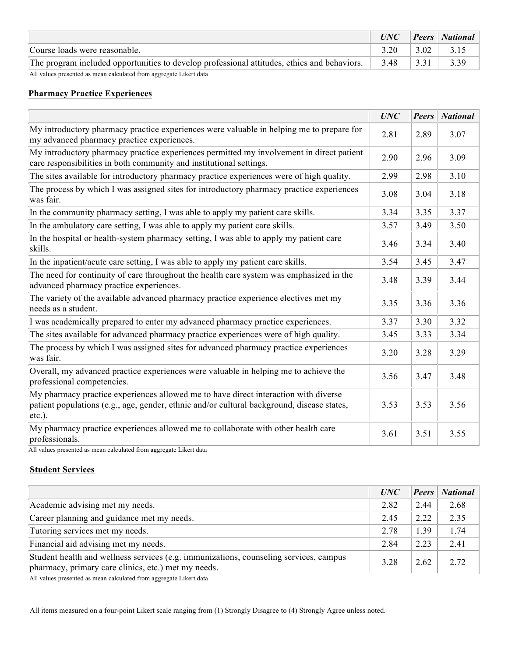|                                                                                             | UNC  |      | <b>Peers</b> National |
|---------------------------------------------------------------------------------------------|------|------|-----------------------|
| Course loads were reasonable.                                                               | 3.20 | 3.02 | 3.15                  |
| The program included opportunities to develop professional attitudes, ethics and behaviors. | 3.48 | 3.31 | 3.39                  |
| All values presented as mean calculated from aggregate Likert data                          |      |      |                       |

# **Pharmacy Practice Experiences**

|                                                                                                                                                                                             | <b>UNC</b> | <b>Peers</b> | <b>National</b> |
|---------------------------------------------------------------------------------------------------------------------------------------------------------------------------------------------|------------|--------------|-----------------|
| My introductory pharmacy practice experiences were valuable in helping me to prepare for<br>my advanced pharmacy practice experiences.                                                      | 2.81       | 2.89         | 3.07            |
| My introductory pharmacy practice experiences permitted my involvement in direct patient<br>care responsibilities in both community and institutional settings.                             | 2.90       | 2.96         | 3.09            |
| The sites available for introductory pharmacy practice experiences were of high quality.                                                                                                    | 2.99       | 2.98         | 3.10            |
| The process by which I was assigned sites for introductory pharmacy practice experiences<br>was fair.                                                                                       | 3.08       | 3.04         | 3.18            |
| In the community pharmacy setting, I was able to apply my patient care skills.                                                                                                              | 3.34       | 3.35         | 3.37            |
| In the ambulatory care setting, I was able to apply my patient care skills.                                                                                                                 | 3.57       | 3.49         | 3.50            |
| In the hospital or health-system pharmacy setting, I was able to apply my patient care<br>skills.                                                                                           | 3.46       | 3.34         | 3.40            |
| In the inpatient/acute care setting, I was able to apply my patient care skills.                                                                                                            | 3.54       | 3.45         | 3.47            |
| The need for continuity of care throughout the health care system was emphasized in the<br>advanced pharmacy practice experiences.                                                          |            | 3.39         | 3.44            |
| The variety of the available advanced pharmacy practice experience electives met my<br>needs as a student.                                                                                  | 3.35       | 3.36         | 3.36            |
| I was academically prepared to enter my advanced pharmacy practice experiences.                                                                                                             | 3.37       | 3.30         | 3.32            |
| The sites available for advanced pharmacy practice experiences were of high quality.                                                                                                        | 3.45       | 3.33         | 3.34            |
| The process by which I was assigned sites for advanced pharmacy practice experiences<br>was fair.                                                                                           | 3.20       | 3.28         | 3.29            |
| Overall, my advanced practice experiences were valuable in helping me to achieve the<br>professional competencies.                                                                          | 3.56       | 3.47         | 3.48            |
| My pharmacy practice experiences allowed me to have direct interaction with diverse<br>patient populations (e.g., age, gender, ethnic and/or cultural background, disease states,<br>etc.). | 3.53       | 3.53         | 3.56            |
| My pharmacy practice experiences allowed me to collaborate with other health care<br>professionals.                                                                                         | 3.61       | 3.51         | 3.55            |

All values presented as mean calculated from aggregate Likert data

## **Student Services**

|                                                                                                                                              | UNC  | <b>Peers</b> | <b>National</b> |
|----------------------------------------------------------------------------------------------------------------------------------------------|------|--------------|-----------------|
| Academic advising met my needs.                                                                                                              | 2.82 | 2.44         | 2.68            |
| Career planning and guidance met my needs.                                                                                                   | 2.45 | 2.22         | 2.35            |
| Tutoring services met my needs.                                                                                                              | 2.78 | 1.39         | 1.74            |
| Financial aid advising met my needs.                                                                                                         | 2.84 | 2.23         | 2.41            |
| Student health and wellness services (e.g. immunizations, counseling services, campus<br>pharmacy, primary care clinics, etc.) met my needs. | 3.28 | 2.62         | 2.72            |

All values presented as mean calculated from aggregate Likert data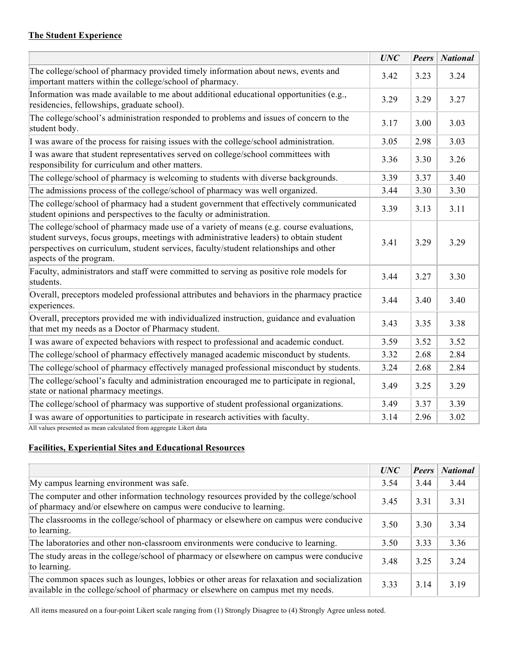# **The Student Experience**

|                                                                                                                                                                                                                                                                                                       | <b>UNC</b> | <b>Peers</b> | <b>National</b> |
|-------------------------------------------------------------------------------------------------------------------------------------------------------------------------------------------------------------------------------------------------------------------------------------------------------|------------|--------------|-----------------|
| The college/school of pharmacy provided timely information about news, events and<br>important matters within the college/school of pharmacy.                                                                                                                                                         | 3.42       | 3.23         | 3.24            |
| Information was made available to me about additional educational opportunities (e.g.,<br>residencies, fellowships, graduate school).                                                                                                                                                                 | 3.29       | 3.29         | 3.27            |
| The college/school's administration responded to problems and issues of concern to the<br>student body.                                                                                                                                                                                               | 3.17       | 3.00         | 3.03            |
| I was aware of the process for raising issues with the college/school administration.                                                                                                                                                                                                                 | 3.05       | 2.98         | 3.03            |
| I was aware that student representatives served on college/school committees with<br>responsibility for curriculum and other matters.                                                                                                                                                                 | 3.36       | 3.30         | 3.26            |
| The college/school of pharmacy is welcoming to students with diverse backgrounds.                                                                                                                                                                                                                     | 3.39       | 3.37         | 3.40            |
| The admissions process of the college/school of pharmacy was well organized.                                                                                                                                                                                                                          | 3.44       | 3.30         | 3.30            |
| The college/school of pharmacy had a student government that effectively communicated<br>student opinions and perspectives to the faculty or administration.                                                                                                                                          | 3.39       | 3.13         | 3.11            |
| The college/school of pharmacy made use of a variety of means (e.g. course evaluations,<br>student surveys, focus groups, meetings with administrative leaders) to obtain student<br>perspectives on curriculum, student services, faculty/student relationships and other<br>aspects of the program. | 3.41       | 3.29         | 3.29            |
| Faculty, administrators and staff were committed to serving as positive role models for<br>students.                                                                                                                                                                                                  | 3.44       | 3.27         | 3.30            |
| Overall, preceptors modeled professional attributes and behaviors in the pharmacy practice<br>experiences.                                                                                                                                                                                            | 3.44       | 3.40         | 3.40            |
| Overall, preceptors provided me with individualized instruction, guidance and evaluation<br>that met my needs as a Doctor of Pharmacy student.                                                                                                                                                        | 3.43       | 3.35         | 3.38            |
| I was aware of expected behaviors with respect to professional and academic conduct.                                                                                                                                                                                                                  | 3.59       | 3.52         | 3.52            |
| The college/school of pharmacy effectively managed academic misconduct by students.                                                                                                                                                                                                                   | 3.32       | 2.68         | 2.84            |
| The college/school of pharmacy effectively managed professional misconduct by students.                                                                                                                                                                                                               | 3.24       | 2.68         | 2.84            |
| The college/school's faculty and administration encouraged me to participate in regional,<br>state or national pharmacy meetings.                                                                                                                                                                     | 3.49       | 3.25         | 3.29            |
| The college/school of pharmacy was supportive of student professional organizations.                                                                                                                                                                                                                  | 3.49       | 3.37         | 3.39            |
| I was aware of opportunities to participate in research activities with faculty.<br>All values presented as mean calculated from aggregate Likert data                                                                                                                                                | 3.14       | 2.96         | 3.02            |

# **Facilities, Experiential Sites and Educational Resources**

|                                                                                                                                                                                | <b>UNC</b> | <b>Peers</b> | <b>National</b> |
|--------------------------------------------------------------------------------------------------------------------------------------------------------------------------------|------------|--------------|-----------------|
| My campus learning environment was safe.                                                                                                                                       | 3.54       | 3.44         | 3.44            |
| The computer and other information technology resources provided by the college/school<br>of pharmacy and/or elsewhere on campus were conducive to learning.                   | 3.45       | 3.31         | 3.31            |
| The classrooms in the college/school of pharmacy or elsewhere on campus were conducive<br>to learning.                                                                         | 3.50       | 3.30         | 3.34            |
| The laboratories and other non-classroom environments were conducive to learning.                                                                                              | 3.50       | 3.33         | 3.36            |
| The study areas in the college/school of pharmacy or elsewhere on campus were conducive<br>to learning.                                                                        | 3.48       | 3.25         | 3 2 4           |
| The common spaces such as lounges, lobbies or other areas for relaxation and socialization<br>available in the college/school of pharmacy or elsewhere on campus met my needs. | 3.33       | 3 1 4        | 3.19            |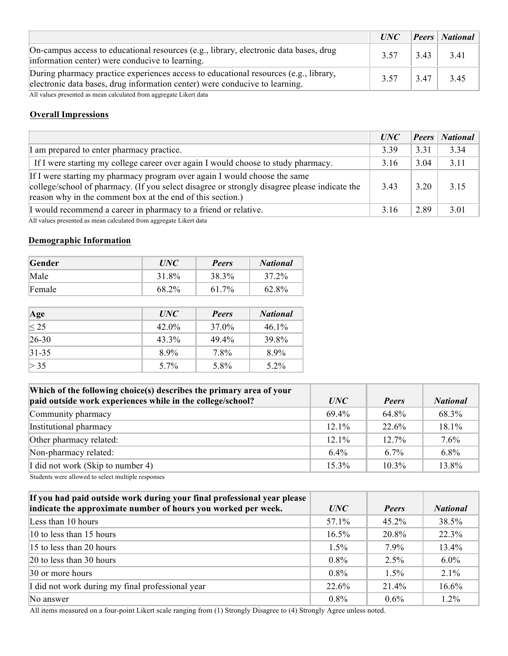|                                                                                                                                                                     | UNC  |      | <b>Peers</b> National |
|---------------------------------------------------------------------------------------------------------------------------------------------------------------------|------|------|-----------------------|
| On-campus access to educational resources (e.g., library, electronic data bases, drug<br>information center) were conducive to learning.                            | 3.57 |      | $343$ 341             |
| During pharmacy practice experiences access to educational resources (e.g., library,<br>electronic data bases, drug information center) were conducive to learning. | 3.57 | 3.47 | 3.45                  |

All values presented as mean calculated from aggregate Likert data

## **Overall Impressions**

|                                                                                                                                                                                                                                         | UNC  | <b>Peers</b> | <b>National</b> |
|-----------------------------------------------------------------------------------------------------------------------------------------------------------------------------------------------------------------------------------------|------|--------------|-----------------|
| I am prepared to enter pharmacy practice.                                                                                                                                                                                               | 3.39 | 3.31         | 3 3 4           |
| If I were starting my college career over again I would choose to study pharmacy.                                                                                                                                                       | 3.16 | 3.04         | 3.11            |
| If I were starting my pharmacy program over again I would choose the same<br>college/school of pharmacy. (If you select disagree or strongly disagree please indicate the<br>reason why in the comment box at the end of this section.) | 3.43 | 3 20         | 3.15            |
| I would recommend a career in pharmacy to a friend or relative.                                                                                                                                                                         | 3.16 | 2.89         | 3.01            |

All values presented as mean calculated from aggregate Likert data

#### **Demographic Information**

| <b>Gender</b> | <i>UNC</i> | Peers    | National |
|---------------|------------|----------|----------|
| Male          | 31.8%      | 38.3%    | 37.2%    |
| Female        | 68.2%      | $61.7\%$ | 62.8%    |

| Age         | <i>UNC</i> | Peers | <b>National</b> |
|-------------|------------|-------|-----------------|
| $\leq$ 25   | $42.0\%$   | 37.0% | $46.1\%$        |
| $26 - 30$   | 43.3%      | 49.4% | 39.8%           |
| $ 31 - 35 $ | $8.9\%$    | 7.8%  | 8.9%            |
| > 35        | $5.7\%$    | 5.8%  | $5.2\%$         |

| Which of the following choice(s) describes the primary area of your<br>paid outside work experiences while in the college/school? | UNC      | <b>Peers</b> | <b>National</b> |
|-----------------------------------------------------------------------------------------------------------------------------------|----------|--------------|-----------------|
| Community pharmacy                                                                                                                | 69.4%    | 64.8%        | 68.3%           |
| Institutional pharmacy                                                                                                            | $12.1\%$ | 22.6%        | $18.1\%$        |
| Other pharmacy related:                                                                                                           | $12.1\%$ | $12.7\%$     | 7.6%            |
| Non-pharmacy related:                                                                                                             | $6.4\%$  | 67%          | 6.8%            |
| I did not work (Skip to number 4)                                                                                                 | $15.3\%$ | $10.3\%$     | 13.8%           |
|                                                                                                                                   |          |              |                 |

Students were allowed to select multiple responses

| If you had paid outside work during your final professional year please |          |              |                 |
|-------------------------------------------------------------------------|----------|--------------|-----------------|
| indicate the approximate number of hours you worked per week.           | UNC      | <b>Peers</b> | <b>National</b> |
| Less than 10 hours                                                      | 57.1%    | $45.2\%$     | 38.5%           |
| 10 to less than 15 hours                                                | $16.5\%$ | 20.8%        | 22.3%           |
| 15 to less than 20 hours                                                | $1.5\%$  | $7.9\%$      | 13.4%           |
| $ 20 \text{ to }$ less than 30 hours                                    | $0.8\%$  | $2.5\%$      | $6.0\%$         |
| 30 or more hours                                                        | $0.8\%$  | $1.5\%$      | $2.1\%$         |
| I did not work during my final professional year                        | 22.6%    | 21.4%        | 16.6%           |
| No answer                                                               | $0.8\%$  | $0.6\%$      | $1.2\%$         |